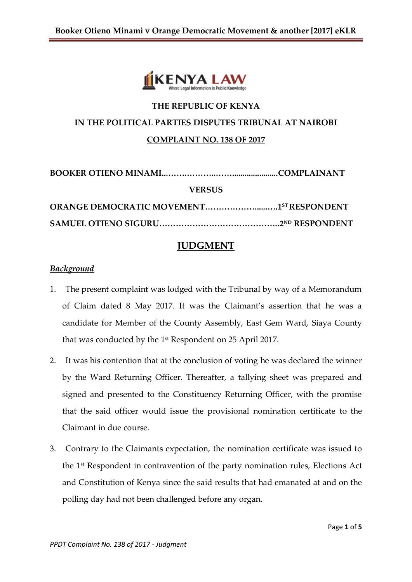

# **THE REPUBLIC OF KENYA IN THE POLITICAL PARTIES DISPUTES TRIBUNAL AT NAIROBI COMPLAINT NO. 138 OF 2017**

**BOOKER OTIENO MINAMI...…….………..……......................COMPLAINANT VERSUS ORANGE DEMOCRATIC MOVEMENT………………......….1 ST RESPONDENT SAMUEL OTIENO SIGURU……………………………………..2 ND RESPONDENT**

## **JUDGMENT**

#### *Background*

- 1. The present complaint was lodged with the Tribunal by way of a Memorandum of Claim dated 8 May 2017. It was the Claimant's assertion that he was a candidate for Member of the County Assembly, East Gem Ward, Siaya County that was conducted by the 1st Respondent on 25 April 2017.
- 2. It was his contention that at the conclusion of voting he was declared the winner by the Ward Returning Officer. Thereafter, a tallying sheet was prepared and signed and presented to the Constituency Returning Officer, with the promise that the said officer would issue the provisional nomination certificate to the Claimant in due course.
- 3. Contrary to the Claimants expectation, the nomination certificate was issued to the 1st Respondent in contravention of the party nomination rules, Elections Act and Constitution of Kenya since the said results that had emanated at and on the polling day had not been challenged before any organ.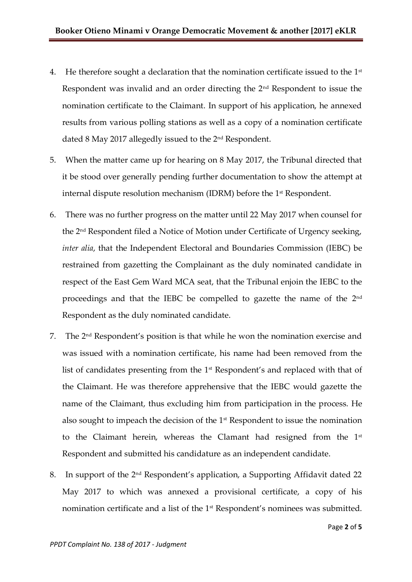- 4. He therefore sought a declaration that the nomination certificate issued to the  $1<sup>st</sup>$ Respondent was invalid and an order directing the 2nd Respondent to issue the nomination certificate to the Claimant. In support of his application, he annexed results from various polling stations as well as a copy of a nomination certificate dated 8 May 2017 allegedly issued to the 2<sup>nd</sup> Respondent.
- 5. When the matter came up for hearing on 8 May 2017, the Tribunal directed that it be stood over generally pending further documentation to show the attempt at internal dispute resolution mechanism (IDRM) before the 1st Respondent.
- 6. There was no further progress on the matter until 22 May 2017 when counsel for the 2nd Respondent filed a Notice of Motion under Certificate of Urgency seeking, *inter alia*, that the Independent Electoral and Boundaries Commission (IEBC) be restrained from gazetting the Complainant as the duly nominated candidate in respect of the East Gem Ward MCA seat, that the Tribunal enjoin the IEBC to the proceedings and that the IEBC be compelled to gazette the name of the 2nd Respondent as the duly nominated candidate.
- 7. The 2nd Respondent's position is that while he won the nomination exercise and was issued with a nomination certificate, his name had been removed from the list of candidates presenting from the 1<sup>st</sup> Respondent's and replaced with that of the Claimant. He was therefore apprehensive that the IEBC would gazette the name of the Claimant, thus excluding him from participation in the process. He also sought to impeach the decision of the 1st Respondent to issue the nomination to the Claimant herein, whereas the Clamant had resigned from the 1<sup>st</sup> Respondent and submitted his candidature as an independent candidate.
- 8. In support of the 2nd Respondent's application, a Supporting Affidavit dated 22 May 2017 to which was annexed a provisional certificate, a copy of his nomination certificate and a list of the 1<sup>st</sup> Respondent's nominees was submitted.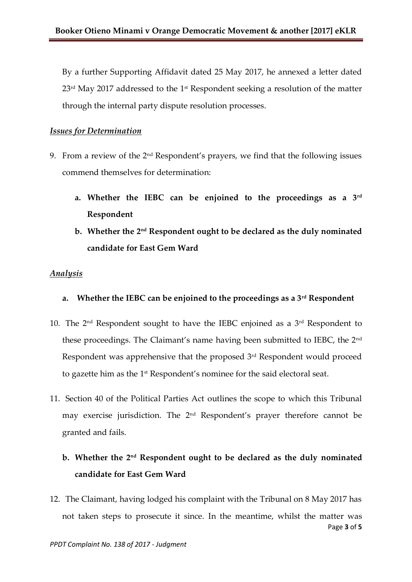By a further Supporting Affidavit dated 25 May 2017, he annexed a letter dated  $23<sup>rd</sup>$  May 2017 addressed to the 1<sup>st</sup> Respondent seeking a resolution of the matter through the internal party dispute resolution processes.

#### *Issues for Determination*

- 9. From a review of the  $2<sup>nd</sup>$  Respondent's prayers, we find that the following issues commend themselves for determination:
	- **a. Whether the IEBC can be enjoined to the proceedings as a 3rd Respondent**
	- **b. Whether the 2nd Respondent ought to be declared as the duly nominated candidate for East Gem Ward**

#### *Analysis*

- **a. Whether the IEBC can be enjoined to the proceedings as a 3rd Respondent**
- 10. The 2nd Respondent sought to have the IEBC enjoined as a 3rd Respondent to these proceedings. The Claimant's name having been submitted to IEBC, the 2nd Respondent was apprehensive that the proposed 3<sup>rd</sup> Respondent would proceed to gazette him as the 1st Respondent's nominee for the said electoral seat.
- 11. Section 40 of the Political Parties Act outlines the scope to which this Tribunal may exercise jurisdiction. The 2nd Respondent's prayer therefore cannot be granted and fails.

# **b. Whether the 2nd Respondent ought to be declared as the duly nominated candidate for East Gem Ward**

Page **3** of **5** 12. The Claimant, having lodged his complaint with the Tribunal on 8 May 2017 has not taken steps to prosecute it since. In the meantime, whilst the matter was